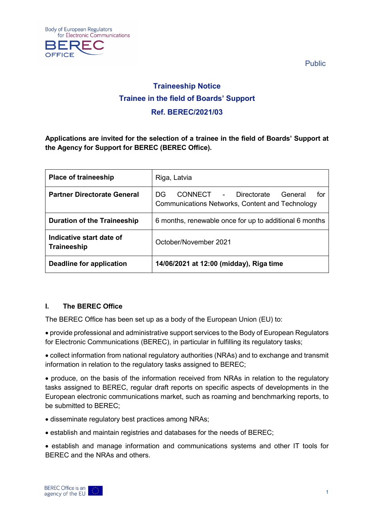



Public

# **Traineeship Notice Trainee in the field of Boards' Support Ref. BEREC/2021/03**

**Applications are invited for the selection of a trainee in the field of Boards' Support at the Agency for Support for BEREC (BEREC Office).**

| <b>Place of traineeship</b>             | Riga, Latvia                                                                                     |
|-----------------------------------------|--------------------------------------------------------------------------------------------------|
| <b>Partner Directorate General</b>      | CONNECT - Directorate<br>General<br>for<br>DG<br>Communications Networks, Content and Technology |
| <b>Duration of the Traineeship</b>      | 6 months, renewable once for up to additional 6 months                                           |
| Indicative start date of<br>Traineeship | October/November 2021                                                                            |
| Deadline for application                | 14/06/2021 at 12:00 (midday), Riga time                                                          |

## **I. The BEREC Office**

The BEREC Office has been set up as a body of the European Union (EU) to:

• provide professional and administrative support services to the Body of European Regulators for Electronic Communications (BEREC), in particular in fulfilling its regulatory tasks;

• collect information from national regulatory authorities (NRAs) and to exchange and transmit information in relation to the regulatory tasks assigned to BEREC;

• produce, on the basis of the information received from NRAs in relation to the regulatory tasks assigned to BEREC, regular draft reports on specific aspects of developments in the European electronic communications market, such as roaming and benchmarking reports, to be submitted to BEREC;

- disseminate regulatory best practices among NRAs;
- establish and maintain registries and databases for the needs of BEREC;
- establish and manage information and communications systems and other IT tools for BEREC and the NRAs and others.

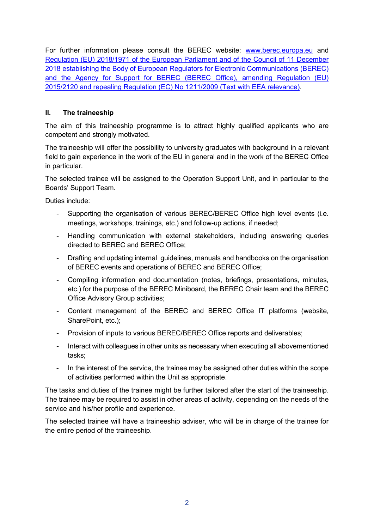For further information please consult the BEREC website: [www.berec.europa.eu](http://www.berec.europa.eu/) and [Regulation \(EU\) 2018/1971 of the European Parliament and of the Council of 11 December](https://eur-lex.europa.eu/legal-content/EN/TXT/?qid=1560490013791&uri=CELEX:32018R1971)  [2018 establishing the Body of European Regulators for Electronic Communications \(BEREC\)](https://eur-lex.europa.eu/legal-content/EN/TXT/?qid=1560490013791&uri=CELEX:32018R1971)  [and the Agency for Support for BEREC \(BEREC Office\), amending Regulation \(EU\)](https://eur-lex.europa.eu/legal-content/EN/TXT/?qid=1560490013791&uri=CELEX:32018R1971)  [2015/2120 and repealing Regulation \(EC\) No 1211/2009](https://eur-lex.europa.eu/legal-content/EN/TXT/?qid=1560490013791&uri=CELEX:32018R1971) (Text with EEA relevance).

## **II. The traineeship**

The aim of this traineeship programme is to attract highly qualified applicants who are competent and strongly motivated.

The traineeship will offer the possibility to university graduates with background in a relevant field to gain experience in the work of the EU in general and in the work of the BEREC Office in particular.

The selected trainee will be assigned to the Operation Support Unit, and in particular to the Boards' Support Team.

Duties include:

- Supporting the organisation of various BEREC/BEREC Office high level events (i.e. meetings, workshops, trainings, etc.) and follow-up actions, if needed;
- Handling communication with external stakeholders, including answering queries directed to BEREC and BEREC Office;
- Drafting and updating internal guidelines, manuals and handbooks on the organisation of BEREC events and operations of BEREC and BEREC Office;
- Compiling information and documentation (notes, briefings, presentations, minutes, etc.) for the purpose of the BEREC Miniboard, the BEREC Chair team and the BEREC Office Advisory Group activities;
- Content management of the BEREC and BEREC Office IT platforms (website, SharePoint, etc.);
- Provision of inputs to various BEREC/BEREC Office reports and deliverables;
- Interact with colleagues in other units as necessary when executing all abovementioned tasks;
- In the interest of the service, the trainee may be assigned other duties within the scope of activities performed within the Unit as appropriate.

The tasks and duties of the trainee might be further tailored after the start of the traineeship. The trainee may be required to assist in other areas of activity, depending on the needs of the service and his/her profile and experience.

The selected trainee will have a traineeship adviser, who will be in charge of the trainee for the entire period of the traineeship.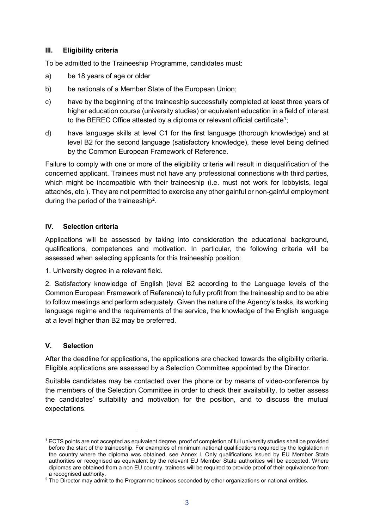#### **III. Eligibility criteria**

To be admitted to the Traineeship Programme, candidates must:

- a) be 18 years of age or older
- b) be nationals of a Member State of the European Union;
- c) have by the beginning of the traineeship successfully completed at least three years of higher education course (university studies) or equivalent education in a field of interest to the BEREC Office attested by a diploma or relevant official certificate $^1;$  $^1;$  $^1;$
- d) have language skills at level C1 for the first language (thorough knowledge) and at level B2 for the second language (satisfactory knowledge), these level being defined by the Common European Framework of Reference.

Failure to comply with one or more of the eligibility criteria will result in disqualification of the concerned applicant. Trainees must not have any professional connections with third parties, which might be incompatible with their traineeship (i.e. must not work for lobbyists, legal attachés, etc.). They are not permitted to exercise any other gainful or non-gainful employment during the period of the traineeship<sup>[2](#page-2-1)</sup>.

## **IV. Selection criteria**

Applications will be assessed by taking into consideration the educational background, qualifications, competences and motivation. In particular, the following criteria will be assessed when selecting applicants for this traineeship position:

1. University degree in a relevant field.

2. Satisfactory knowledge of English (level B2 according to the Language levels of the Common European Framework of Reference) to fully profit from the traineeship and to be able to follow meetings and perform adequately. Given the nature of the Agency's tasks, its working language regime and the requirements of the service, the knowledge of the English language at a level higher than B2 may be preferred.

## **V. Selection**

-

After the deadline for applications, the applications are checked towards the eligibility criteria. Eligible applications are assessed by a Selection Committee appointed by the Director.

Suitable candidates may be contacted over the phone or by means of video-conference by the members of the Selection Committee in order to check their availability, to better assess the candidates' suitability and motivation for the position, and to discuss the mutual expectations.

<span id="page-2-0"></span><sup>1</sup> ECTS points are not accepted as equivalent degree, proof of completion of full university studies shall be provided before the start of the traineeship. For examples of minimum national qualifications required by the legislation in the country where the diploma was obtained, see Annex I. Only qualifications issued by EU Member State authorities or recognised as equivalent by the relevant EU Member State authorities will be accepted. Where diplomas are obtained from a non EU country, trainees will be required to provide proof of their equivalence from a recognised authority.

<span id="page-2-1"></span><sup>&</sup>lt;sup>2</sup> The Director may admit to the Programme trainees seconded by other organizations or national entities.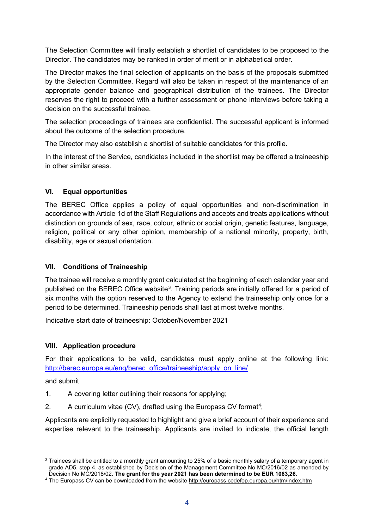The Selection Committee will finally establish a shortlist of candidates to be proposed to the Director. The candidates may be ranked in order of merit or in alphabetical order.

The Director makes the final selection of applicants on the basis of the proposals submitted by the Selection Committee. Regard will also be taken in respect of the maintenance of an appropriate gender balance and geographical distribution of the trainees. The Director reserves the right to proceed with a further assessment or phone interviews before taking a decision on the successful trainee.

The selection proceedings of trainees are confidential. The successful applicant is informed about the outcome of the selection procedure.

The Director may also establish a shortlist of suitable candidates for this profile.

In the interest of the Service, candidates included in the shortlist may be offered a traineeship in other similar areas.

## **VI. Equal opportunities**

The BEREC Office applies a policy of equal opportunities and non-discrimination in accordance with Article 1d of the Staff Regulations and accepts and treats applications without distinction on grounds of sex, race, colour, ethnic or social origin, genetic features, language, religion, political or any other opinion, membership of a national minority, property, birth, disability, age or sexual orientation.

#### **VII. Conditions of Traineeship**

The trainee will receive a monthly grant calculated at the beginning of each calendar year and published on the BEREC Office website<sup>[3](#page-3-0)</sup>. Training periods are initially offered for a period of six months with the option reserved to the Agency to extend the traineeship only once for a period to be determined. Traineeship periods shall last at most twelve months.

Indicative start date of traineeship: October/November 2021

#### **VIII. Application procedure**

For their applications to be valid, candidates must apply online at the following link: [http://berec.europa.eu/eng/berec\\_office/traineeship/apply\\_on\\_line/](http://berec.europa.eu/eng/berec_office/traineeship/apply_on_line/)

and submit

-

- 1. A covering letter outlining their reasons for applying;
- 2. A curriculum vitae (CV), drafted using the Europass CV format<sup>[4](#page-3-1)</sup>;

Applicants are explicitly requested to highlight and give a brief account of their experience and expertise relevant to the traineeship. Applicants are invited to indicate, the official length

<span id="page-3-0"></span><sup>&</sup>lt;sup>3</sup> Trainees shall be entitled to a monthly grant amounting to 25% of a basic monthly salary of a temporary agent in grade AD5, step 4, as established by Decision of the Management Committee No MC/2016/02 as amended by Decision No MC/2018/02. **The grant for the year 2021 has been determined to be EUR 1063,26**.

<span id="page-3-1"></span><sup>4</sup> The Europass CV can be downloaded from the websit[e http://europass.cedefop.europa.eu/htm/index.htm](http://europass.cedefop.europa.eu/htm/index.htm)